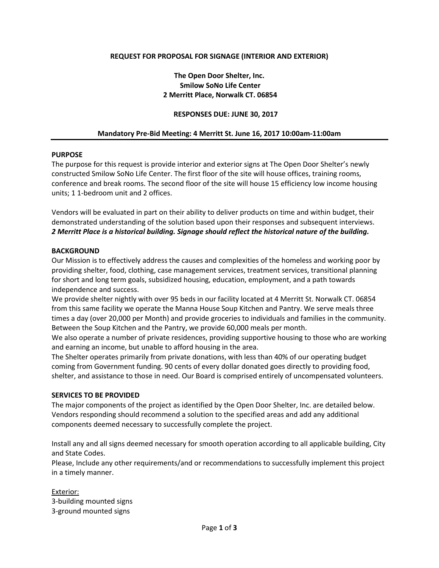# **REQUEST FOR PROPOSAL FOR SIGNAGE (INTERIOR AND EXTERIOR)**

# **The Open Door Shelter, Inc. Smilow SoNo Life Center 2 Merritt Place, Norwalk CT. 06854**

## **RESPONSES DUE: JUNE 30, 2017**

## **Mandatory Pre-Bid Meeting: 4 Merritt St. June 16, 2017 10:00am-11:00am**

## **PURPOSE**

The purpose for this request is provide interior and exterior signs at The Open Door Shelter's newly constructed Smilow SoNo Life Center. The first floor of the site will house offices, training rooms, conference and break rooms. The second floor of the site will house 15 efficiency low income housing units; 1 1-bedroom unit and 2 offices.

Vendors will be evaluated in part on their ability to deliver products on time and within budget, their demonstrated understanding of the solution based upon their responses and subsequent interviews. *2 Merritt Place is a historical building. Signage should reflect the historical nature of the building.* 

#### **BACKGROUND**

Our Mission is to effectively address the causes and complexities of the homeless and working poor by providing shelter, food, clothing, case management services, treatment services, transitional planning for short and long term goals, subsidized housing, education, employment, and a path towards independence and success.

We provide shelter nightly with over 95 beds in our facility located at 4 Merritt St. Norwalk CT. 06854 from this same facility we operate the Manna House Soup Kitchen and Pantry. We serve meals three times a day (over 20,000 per Month) and provide groceries to individuals and families in the community. Between the Soup Kitchen and the Pantry, we provide 60,000 meals per month.

We also operate a number of private residences, providing supportive housing to those who are working and earning an income, but unable to afford housing in the area.

The Shelter operates primarily from private donations, with less than 40% of our operating budget coming from Government funding. 90 cents of every dollar donated goes directly to providing food, shelter, and assistance to those in need. Our Board is comprised entirely of uncompensated volunteers.

#### **SERVICES TO BE PROVIDED**

The major components of the project as identified by the Open Door Shelter, Inc. are detailed below. Vendors responding should recommend a solution to the specified areas and add any additional components deemed necessary to successfully complete the project.

Install any and all signs deemed necessary for smooth operation according to all applicable building, City and State Codes.

Please, Include any other requirements/and or recommendations to successfully implement this project in a timely manner.

Exterior: 3-building mounted signs 3-ground mounted signs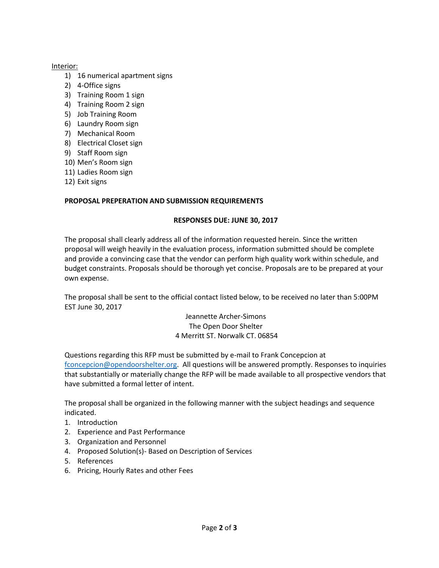# Interior:

- 1) 16 numerical apartment signs
- 2) 4-Office signs
- 3) Training Room 1 sign
- 4) Training Room 2 sign
- 5) Job Training Room
- 6) Laundry Room sign
- 7) Mechanical Room
- 8) Electrical Closet sign
- 9) Staff Room sign
- 10) Men's Room sign
- 11) Ladies Room sign
- 12) Exit signs

# **PROPOSAL PREPERATION AND SUBMISSION REQUIREMENTS**

# **RESPONSES DUE: JUNE 30, 2017**

The proposal shall clearly address all of the information requested herein. Since the written proposal will weigh heavily in the evaluation process, information submitted should be complete and provide a convincing case that the vendor can perform high quality work within schedule, and budget constraints. Proposals should be thorough yet concise. Proposals are to be prepared at your own expense.

The proposal shall be sent to the official contact listed below, to be received no later than 5:00PM EST June 30, 2017

> Jeannette Archer-Simons The Open Door Shelter 4 Merritt ST. Norwalk CT. 06854

Questions regarding this RFP must be submitted by e-mail to Frank Concepcion at [fconcepcion@opendoorshelter.org.](mailto:fconcepcion@opendoorshelter.org) All questions will be answered promptly. Responses to inquiries that substantially or materially change the RFP will be made available to all prospective vendors that have submitted a formal letter of intent.

The proposal shall be organized in the following manner with the subject headings and sequence indicated.

- 1. Introduction
- 2. Experience and Past Performance
- 3. Organization and Personnel
- 4. Proposed Solution(s)- Based on Description of Services
- 5. References
- 6. Pricing, Hourly Rates and other Fees